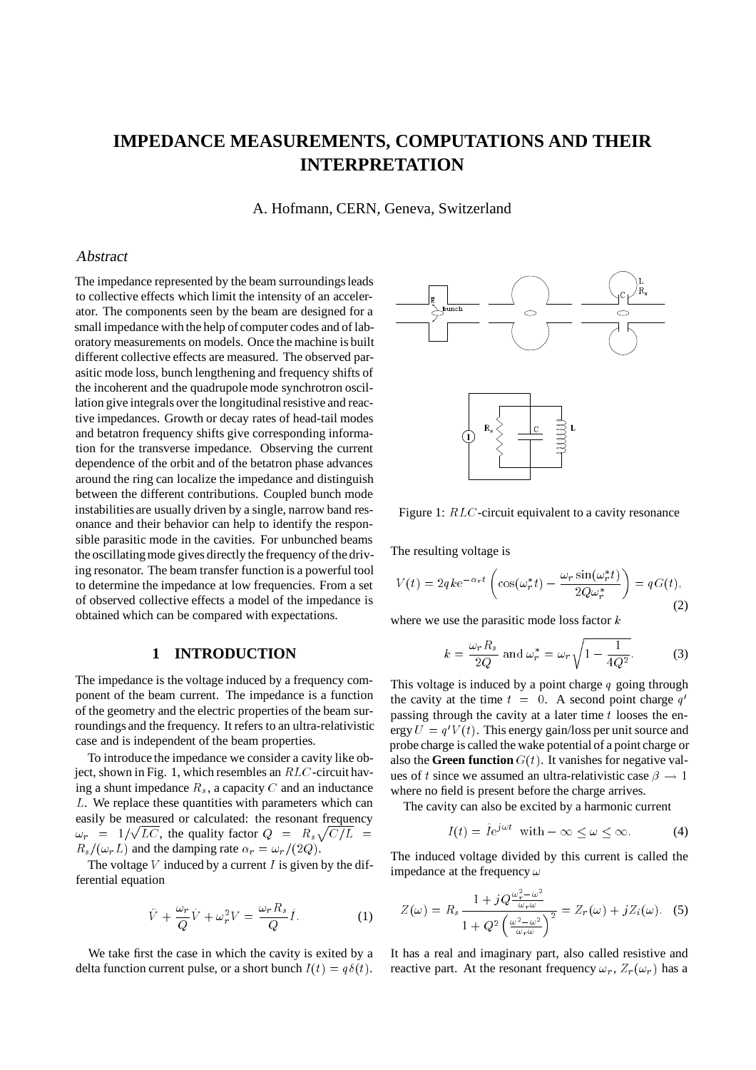# **IMPEDANCE MEASUREMENTS, COMPUTATIONS AND THEIR INTERPRETATION**

A. Hofmann, CERN, Geneva, Switzerland

#### Abstract

The impedance represented by the beam surroundings leads to collective effects which limit the intensity of an accelerator. The components seen by the beam are designed for a small impedance with the help of computer codes and of laboratory measurements on models. Once the machine is built different collective effects are measured. The observed parasitic mode loss, bunch lengthening and frequency shifts of the incoherent and the quadrupole mode synchrotron oscillation give integrals over the longitudinal resistive and reactive impedances. Growth or decay rates of head-tail modes and betatron frequency shifts give corresponding information for the transverse impedance. Observing the current dependence of the orbit and of the betatron phase advances around the ring can localize the impedance and distinguish between the different contributions. Coupled bunch mode instabilities are usually driven by a single, narrow band resonance and their behavior can help to identify the responsible parasitic mode in the cavities. For unbunched beams the oscillatingmode gives directly the frequency of the driving resonator. The beam transfer function is a powerful tool to determine the impedance at low frequencies. From a set of observed collective effects a model of the impedance is obtained which can be compared with expectations.

## **1 INTRODUCTION**

The impedance is the voltage induced by a frequency component of the beam current. The impedance is a function of the geometry and the electric properties of the beam surroundings and the frequency. It refers to an ultra-relativistic case and is independent of the beam properties.

To introduce the impedance we consider a cavity like object, shown in Fig. 1, which resembles an RLC-circuit having a shunt impedance  $R_s$ , a capacity C and an inductance <sup>L</sup>. We replace these quantities with parameters which can easily be measured or calculated: the resonant frequency  $\omega_r = 1/\sqrt{LC}$ , the quality factor  $Q = R_s\sqrt{C/L}$  $R_s/(\omega_rL)$  and the damping rate  $\alpha_r = \omega_r/(2Q)$ .

The voltage  $V$  induced by a current  $I$  is given by the differential equation

$$
\ddot{V} + \frac{\omega_r}{Q}V + \omega_r^2 V = \frac{\omega_r R_s}{Q}I.
$$
 (1)

We take first the case in which the cavity is exited by a delta function current pulse, or a short bunch  $I(t) = q\delta(t)$ .



Figure 1: RLC-circuit equivalent to a cavity resonance

The resulting voltage is

$$
V(t) = 2qke^{-\alpha_r t} \left( \cos(\omega_r^* t) - \frac{\omega_r \sin(\omega_r^* t)}{2Q\omega_r^*} \right) = qG(t),\tag{2}
$$

where we use the parasitic mode loss factor  $k$ 

$$
k = \frac{\omega_r R_s}{2Q} \text{ and } \omega_r^* = \omega_r \sqrt{1 - \frac{1}{4Q^2}}.
$$
 (3)

This voltage is induced by a point charge  $q$  going through the cavity at the time  $t = 0$ . A second point charge  $q'$ passing through the cavity at a later time  $t$  looses the energy  $U = q'V(t)$ . This energy gain/loss per unit source and probe charge is called the wake potential of a point charge or also the **Green function**  $G(t)$ . It vanishes for negative values of t since we assumed an ultra-relativistic case  $\beta \rightarrow 1$ where no field is present before the charge arrives.

The cavity can also be excited by a harmonic current

$$
I(t) = \tilde{I}e^{j\omega t} \quad \text{with} \quad -\infty \le \omega \le \infty. \tag{4}
$$

The induced voltage divided by this current is called the impedance at the frequency  $\omega$ 

$$
Z(\omega) = R_s \frac{1 + jQ \frac{\omega_r^2 - \omega^2}{\omega_r \omega}}{1 + Q^2 \left(\frac{\omega^2 - \omega^2}{\omega_r \omega}\right)^2} = Z_r(\omega) + jZ_i(\omega). \tag{5}
$$

It has a real and imaginary part, also called resistive and reactive part. At the resonant frequency  $\omega_r$ ,  $Z_r(\omega_r)$  has a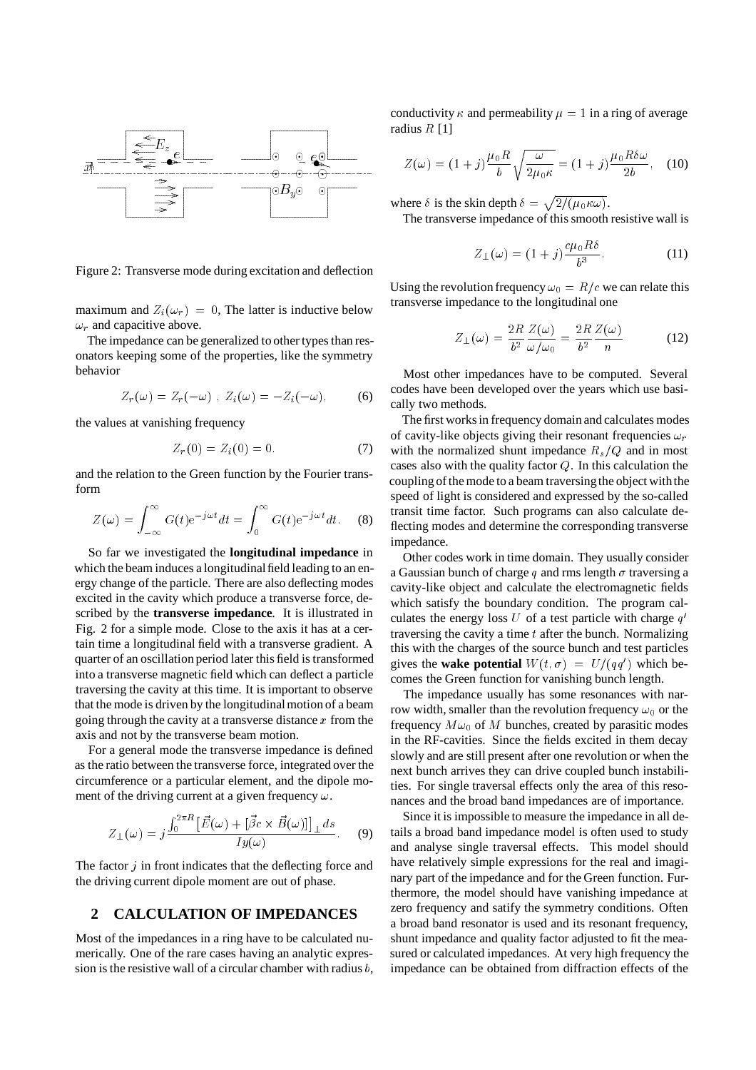

Figure 2: Transverse mode during excitation and deflection

maximum and  $Z_i(\omega_r) = 0$ , The latter is inductive below  $\omega_r$  and capacitive above.

The impedance can be generalized to other types than resonators keeping some of the properties, like the symmetry behavior

$$
Z_r(\omega) = Z_r(-\omega) , Z_i(\omega) = -Z_i(-\omega), \qquad (6)
$$

the values at vanishing frequency

$$
Z_r(0) = Z_i(0) = 0.
$$
 (7)

and the relation to the Green function by the Fourier transform

$$
Z(\omega) = \int_{-\infty}^{\infty} G(t) e^{-j\omega t} dt = \int_{0}^{\infty} G(t) e^{-j\omega t} dt.
$$
 (8)

So far we investigated the **longitudinal impedance** in which the beam induces a longitudinal field leading to an energy change of the particle. There are also deflecting modes excited in the cavity which produce a transverse force, described by the **transverse impedance**. It is illustrated in Fig. 2 for a simple mode. Close to the axis it has at a certain time a longitudinal field with a transverse gradient. A quarter of an oscillation period later this field is transformed into a transverse magnetic field which can deflect a particle traversing the cavity at this time. It is important to observe that the mode is driven by the longitudinal motion of a beam going through the cavity at a transverse distance  $x$  from the axis and not by the transverse beam motion.

For a general mode the transverse impedance is defined as the ratio between the transverse force, integrated over the circumference or a particular element, and the dipole moment of the driving current at a given frequency  $\omega$ .

$$
Z_{\perp}(\omega) = j \frac{\int_0^{2\pi R} [\vec{E}(\omega) + [\vec{\beta c} \times \vec{B}(\omega)]]_{\perp} ds}{I y(\omega)}.
$$
 (9)

The factor  $j$  in front indicates that the deflecting force and the driving current dipole moment are out of phase.

#### **2 CALCULATION OF IMPEDANCES**

Most of the impedances in a ring have to be calculated numerically. One of the rare cases having an analytic expression is the resistive wall of a circular chamber with radius  $b$ , conductivity  $\kappa$  and permeability  $\mu = 1$  in a ring of average radius  $R$  [1]

$$
Z(\omega) = (1+j)\frac{\mu_0 R}{b} \sqrt{\frac{\omega}{2\mu_0 \kappa}} = (1+j)\frac{\mu_0 R \delta \omega}{2b}, \quad (10)
$$

where  $\delta$  is the skin depth  $\delta = \sqrt{\frac{2}{(\mu_0 \kappa \omega)}}$ . The transverse impedance of this smooth resistive wall is

$$
Z_{\perp}(\omega) = (1+j)\frac{c\mu_0 R\delta}{b^3}.
$$
 (11)

Using the revolution frequency  $\omega_0 = R/c$  we can relate this transverse impedance to the longitudinal one

$$
Z_{\perp}(\omega) = \frac{2R}{b^2} \frac{Z(\omega)}{\omega/\omega_0} = \frac{2R}{b^2} \frac{Z(\omega)}{n}
$$
 (12)

Most other impedances have to be computed. Several codes have been developed over the years which use basically two methods.

The first works in frequency domain and calculates modes of cavity-like objects giving their resonant frequencies  $\omega_r$ with the normalized shunt impedance  $R_s/Q$  and in most cases also with the quality factor  $Q$ . In this calculation the coupling of the mode to a beam traversing the object with the speed of light is considered and expressed by the so-called transit time factor. Such programs can also calculate deflecting modes and determine the corresponding transverse impedance.

Other codes work in time domain. They usually consider a Gaussian bunch of charge q and rms length  $\sigma$  traversing a cavity-like object and calculate the electromagnetic fields which satisfy the boundary condition. The program calculates the energy loss U of a test particle with charge  $q'$ traversing the cavity a time  $t$  after the bunch. Normalizing this with the charges of the source bunch and test particles gives the **wake potential**  $W(t, \sigma) = U/(qq')$  which becomes the Green function for vanishing bunch length.

The impedance usually has some resonances with narrow width, smaller than the revolution frequency  $\omega_0$  or the frequency  $M \omega_0$  of M bunches, created by parasitic modes in the RF-cavities. Since the fields excited in them decay slowly and are still present after one revolution or when the next bunch arrives they can drive coupled bunch instabilities. For single traversal effects only the area of this resonances and the broad band impedances are of importance.

Since it is impossible to measure the impedance in all details a broad band impedance model is often used to study and analyse single traversal effects. This model should have relatively simple expressions for the real and imaginary part of the impedance and for the Green function. Furthermore, the model should have vanishing impedance at zero frequency and satify the symmetry conditions. Often a broad band resonator is used and its resonant frequency, shunt impedance and quality factor adjusted to fit the measured or calculated impedances. At very high frequency the impedance can be obtained from diffraction effects of the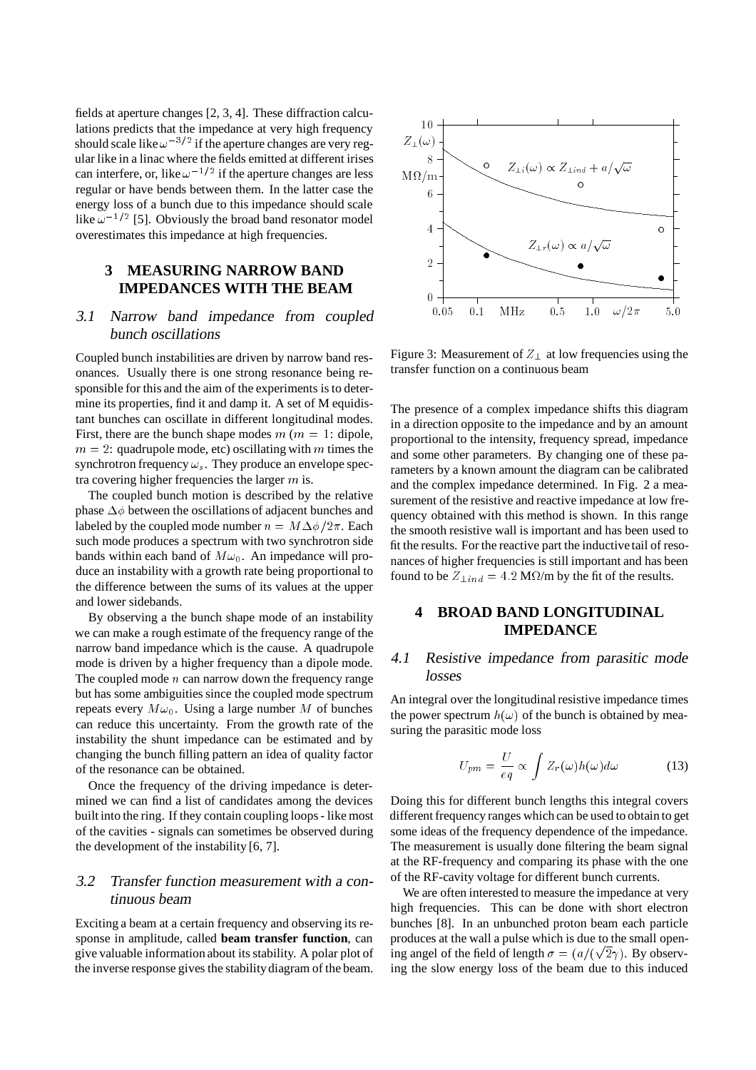fields at aperture changes [2, 3, 4]. These diffraction calculations predicts that the impedance at very high frequency should scale like  $\omega^{-3/2}$  if the aperture changes are very regular like in a linac where the fields emitted at different irises can interfere, or, like  $\omega^{-1/2}$  if the aperture changes are less regular or have bends between them. In the latter case the energy loss of a bunch due to this impedance should scale like  $\omega^{-1/2}$  [5]. Obviously the broad band resonator model overestimates this impedance at high frequencies.

## **3 MEASURING NARROW BAND IMPEDANCES WITH THE BEAM**

# 3.1 Narrow band impedance from coupled bunch oscillations

Coupled bunch instabilities are driven by narrow band resonances. Usually there is one strong resonance being responsible for this and the aim of the experiments is to determine its properties, find it and damp it. A set of M equidistant bunches can oscillate in different longitudinal modes. First, there are the bunch shape modes  $m$  ( $m = 1$ : dipole,  $m = 2$ : quadrupole mode, etc) oscillating with m times the synchrotron frequency  $\omega_s$ . They produce an envelope spectra covering higher frequencies the larger  $m$  is.

The coupled bunch motion is described by the relative phase  $\Delta\phi$  between the oscillations of adjacent bunches and labeled by the coupled mode number  $n = M\Delta\phi/2\pi$ . Each such mode produces a spectrum with two synchrotron side bands within each band of  $M\omega_0$ . An impedance will produce an instability with a growth rate being proportional to the difference between the sums of its values at the upper and lower sidebands.

By observing a the bunch shape mode of an instability we can make a rough estimate of the frequency range of the narrow band impedance which is the cause. A quadrupole mode is driven by a higher frequency than a dipole mode. The coupled mode  $n$  can narrow down the frequency range but has some ambiguities since the coupled mode spectrum repeats every  $M\omega_0$ . Using a large number M of bunches can reduce this uncertainty. From the growth rate of the instability the shunt impedance can be estimated and by changing the bunch filling pattern an idea of quality factor of the resonance can be obtained.

Once the frequency of the driving impedance is determined we can find a list of candidates among the devices built into the ring. If they contain coupling loops - like most of the cavities - signals can sometimes be observed during the development of the instability [6, 7].

# 3.2 Transfer function measurement with <sup>a</sup> continuous beam

Exciting a beam at a certain frequency and observing its response in amplitude, called **beam transfer function**, can give valuable information about its stability. A polar plot of the inverse response gives the stabilitydiagram of the beam.



Figure 3: Measurement of  $Z_{\perp}$  at low frequencies using the transfer function on a continuous beam

The presence of a complex impedance shifts this diagram in a direction opposite to the impedance and by an amount proportional to the intensity, frequency spread, impedance and some other parameters. By changing one of these parameters by a known amount the diagram can be calibrated and the complex impedance determined. In Fig. 2 a measurement of the resistive and reactive impedance at low frequency obtained with this method is shown. In this range the smooth resistive wall is important and has been used to fit the results. For the reactive part the inductive tail of resonances of higher frequencies is still important and has been found to be  $Z_{\perp in \, d} = 4.2 \text{ M}\Omega/\text{m}$  by the fit of the results.

## **4 BROAD BAND LONGITUDINAL IMPEDANCE**

#### 4.1 Resistive impedance from parasitic mode losses

An integral over the longitudinal resistive impedance times the power spectrum  $h(\omega)$  of the bunch is obtained by measuring the parasitic mode loss

$$
U_{pm} = \frac{U}{eq} \propto \int Z_r(\omega)h(\omega)d\omega \tag{13}
$$

Doing this for different bunch lengths this integral covers different frequency ranges which can be used to obtain to get some ideas of the frequency dependence of the impedance. The measurement is usually done filtering the beam signal at the RF-frequency and comparing its phase with the one of the RF-cavity voltage for different bunch currents.

We are often interested to measure the impedance at very high frequencies. This can be done with short electron bunches [8]. In an unbunched proton beam each particle produces at the wall a pulse which is due to the small opening angel of the field of length  $\sigma = (a/(\sqrt{2}\gamma))$ . By observing the slow energy loss of the beam due to this induced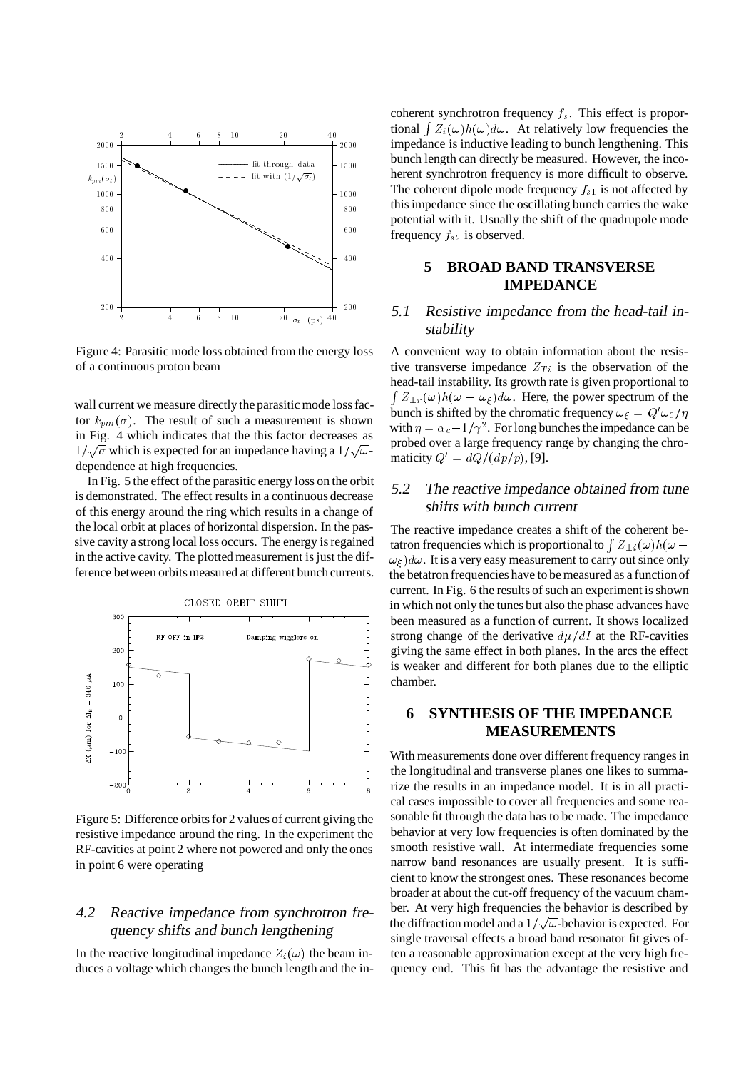

Figure 4: Parasitic mode loss obtained from the energy loss of a continuous proton beam

wall current we measure directly the parasitic mode loss factor  $k_{pm}(\sigma)$ . The result of such a measurement is shown in Fig. 4 which indicates that the this factor decreases as  $1/\sqrt{\sigma}$  which is expected for an impedance having a  $1/\sqrt{\omega}$ dependence at high frequencies.

In Fig. 5 the effect of the parasitic energy loss on the orbit is demonstrated. The effect results in a continuous decrease of this energy around the ring which results in a change of the local orbit at places of horizontal dispersion. In the passive cavity a strong local loss occurs. The energy is regained in the active cavity. The plotted measurement is just the difference between orbits measured at different bunch currents.



Figure 5: Difference orbits for 2 values of current giving the resistive impedance around the ring. In the experiment the RF-cavities at point 2 where not powered and only the ones in point 6 were operating

# 4.2 Reactive impedance from synchrotron frequency shifts and bunch lengthening

In the reactive longitudinal impedance  $Z_i(\omega)$  the beam induces a voltage which changes the bunch length and the incoherent synchrotron frequency  $f_s$ . This effect is proportional  $\int Z_i(\omega)h(\omega)d\omega$ . At relatively low frequencies the impedance is inductive leading to bunch lengthening. This bunch length can directly be measured. However, the incoherent synchrotron frequency is more difficult to observe. The coherent dipole mode frequency  $f_{s1}$  is not affected by this impedance since the oscillating bunch carries the wake potential with it. Usually the shift of the quadrupole mode frequency  $f_{s2}$  is observed.

#### **5 BROAD BAND TRANSVERSE IMPEDANCE**

## 5.1 Resistive impedance from the head-tail instability

A convenient way to obtain information about the resistive transverse impedance  $Z_{Ti}$  is the observation of the head-tail instability. Its growth rate is given proportional to  $\int Z_{\perp r}(\omega)h(\omega - \omega_{\xi})d\omega$ . Here, the power spectrum of the bunch is shifted by the chromatic frequency  $\omega_{\xi} = Q' \omega_0 / \eta$ with  $\eta = \alpha_c - 1/\gamma^2$ . For long bunches the impedance can be probed over a large frequency range by changing the chromaticity  $Q' = dQ/(dp/p)$ , [9].

#### 5.2 The reactive impedance obtained from tune shifts with bunch current

The reactive impedance creates a shift of the coherent betatron frequencies which is proportional to  $Z_{1i}(\omega)h(\omega \omega_f$ ) $d\omega$ . It is a very easy measurement to carry out since only the betatron frequencies have to be measured as a functionof current. In Fig. 6 the results of such an experiment is shown in which not only the tunes but also the phase advances have been measured as a function of current. It shows localized strong change of the derivative  $d\mu/dI$  at the RF-cavities giving the same effect in both planes. In the arcs the effect is weaker and different for both planes due to the elliptic chamber.

# **6 SYNTHESIS OF THE IMPEDANCE MEASUREMENTS**

With measurements done over different frequency ranges in the longitudinal and transverse planes one likes to summarize the results in an impedance model. It is in all practical cases impossible to cover all frequencies and some reasonable fit through the data has to be made. The impedance behavior at very low frequencies is often dominated by the smooth resistive wall. At intermediate frequencies some narrow band resonances are usually present. It is sufficient to know the strongest ones. These resonances become broader at about the cut-off frequency of the vacuum chamber. At very high frequencies the behavior is described by the diffraction model and a  $1/\sqrt{\omega}$ -behavior is expected. For single traversal effects a broad band resonator fit gives often a reasonable approximation except at the very high frequency end. This fit has the advantage the resistive and